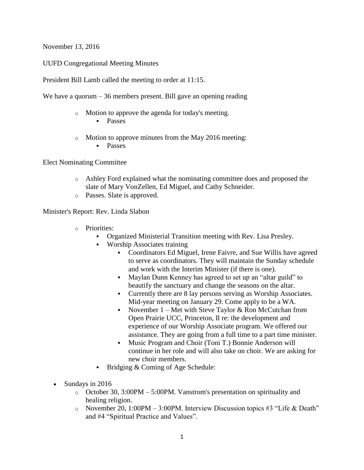November 13, 2016

UUFD Congregational Meeting Minutes

President Bill Lamb called the meeting to order at 11:15.

We have a quorum – 36 members present. Bill gave an opening reading

- o Motion to approve the agenda for today's meeting.
	- **Passes**
- o Motion to approve minutes from the May 2016 meeting:
	- **Passes**

Elect Nominating Committee

- o Ashley Ford explained what the nominating committee does and proposed the slate of Mary VonZellen, Ed Miguel, and Cathy Schneider.
- o Passes. Slate is approved.

Minister's Report: Rev. Linda Slabon

- o Priorities:
	- Organized Ministerial Transition meeting with Rev. Lisa Presley.
	- Worship Associates training
		- Coordinators Ed Miguel, Irene Faivre, and Sue Willis have agreed to serve as coordinators. They will maintain the Sunday schedule and work with the Interim Minister (if there is one).
		- Maylan Dunn Kenney has agreed to set up an "altar guild" to beautify the sanctuary and change the seasons on the altar.
		- Currently there are 8 lay persons serving as Worship Associates. Mid-year meeting on January 29. Come apply to be a WA.
		- November  $1 Met$  with Steve Taylor & Ron McCutchan from Open Prairie UCC, Princeton, Il re: the development and experience of our Worship Associate program. We offered our assistance. They are going from a full time to a part time minister.
		- Music Program and Choir (Toni T.) Bonnie Anderson will continue in her role and will also take on choir. We are asking for new choir members.
	- Bridging & Coming of Age Schedule:
- Sundays in 2016
	- $\circ$  October 30, 3:00PM 5:00PM. Vanstrom's presentation on spirituality and healing religion.
	- o November 20, 1:00PM 3:00PM. Interview Discussion topics #3 "Life & Death" and #4 "Spiritual Practice and Values".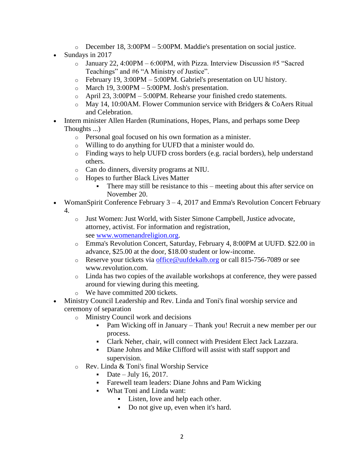- $\circ$  December 18, 3:00PM 5:00PM. Maddie's presentation on social justice.
- Sundays in 2017
	- $\circ$  January 22, 4:00PM 6:00PM, with Pizza. Interview Discussion #5 "Sacred Teachings" and #6 "A Ministry of Justice".
	- o February 19, 3:00PM 5:00PM. Gabriel's presentation on UU history.
	- $\circ$  March 19, 3:00PM 5:00PM. Josh's presentation.
	- o April 23, 3:00PM 5:00PM. Rehearse your finished credo statements.
	- o May 14, 10:00AM. Flower Communion service with Bridgers & CoAers Ritual and Celebration.
- Intern minister Allen Harden (Ruminations, Hopes, Plans, and perhaps some Deep Thoughts ...)
	- o Personal goal focused on his own formation as a minister.
	- o Willing to do anything for UUFD that a minister would do.
	- o Finding ways to help UUFD cross borders (e.g. racial borders), help understand others.
	- o Can do dinners, diversity programs at NIU.
	- o Hopes to further Black Lives Matter
		- There may still be resistance to this meeting about this after service on November 20.
- WomanSpirit Conference February  $3 4$ , 2017 and Emma's Revolution Concert February
	- 4.
- o Just Women: Just World, with Sister Simone Campbell, Justice advocate, attorney, activist. For information and registration, see [www.womenandreligion.org.](http://www.womenandreligion.org/)
- o Emma's Revolution Concert, Saturday, February 4, 8:00PM at UUFD. \$22.00 in advance, \$25.00 at the door, \$18.00 student or low-income.
- o Reserve your tickets via [office@uufdekalb.org](mailto:office@uufdekalb.org) or call 815-756-7089 or see www.revolution.com.
- o Linda has two copies of the available workshops at conference, they were passed around for viewing during this meeting.
- o We have committed 200 tickets.
- Ministry Council Leadership and Rev. Linda and Toni's final worship service and ceremony of separation
	- o Ministry Council work and decisions
		- Pam Wicking off in January Thank you! Recruit a new member per our process.
		- Clark Neher, chair, will connect with President Elect Jack Lazzara.
		- Diane Johns and Mike Clifford will assist with staff support and supervision.
	- o Rev. Linda & Toni's final Worship Service
		- Date July 16, 2017.
		- Farewell team leaders: Diane Johns and Pam Wicking
		- What Toni and Linda want:
			- Listen, love and help each other.
				- Do not give up, even when it's hard.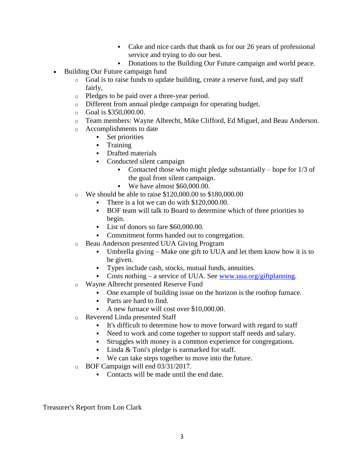- Cake and nice cards that thank us for our 26 years of professional service and trying to do our best.
- Donations to the Building Our Future campaign and world peace.
- Building Our Future campaign fund
	- o Goal is to raise funds to update building, create a reserve fund, and pay staff fairly,
	- o Pledges to be paid over a three-year period.
	- o Different from annual pledge campaign for operating budget.
	- o Goal is \$350,000.00.
	- o Team members: Wayne Albrecht, Mike Clifford, Ed Miguel, and Beau Anderson.
	- o Accomplishments to date
		- **Set priorities**
		- **Training**
		- Drafted materials
		- Conducted silent campaign
			- Contacted those who might pledge substantially hope for  $1/3$  of the goal from silent campaign.
			- We have almost \$60,000.00.
	- o We should be able to raise \$120,000.00 to \$180,000.00
		- There is a lot we can do with \$120,000.00.
		- BOF team will talk to Board to determine which of three priorities to begin.
		- List of donors so fare \$60,000,00.
		- Commitment forms handed out to congregation.
	- o Beau Anderson presented UUA Giving Program
		- Umbrella giving Make one gift to UUA and let them know how it is to be given.
		- Types include cash, stocks, mutual funds, annuities.
		- Costs nothing a service of UUA. See [www.uua.org/giftplanning.](http://www.uua.org/giftplanning)
	- o Wayne Albrecht presented Reserve Fund
		- One example of building issue on the horizon is the rooftop furnace.
		- Parts are hard to find.
		- A new furnace will cost over \$10,000.00.
	- o Reverend Linda presented Staff
		- It's difficult to determine how to move forward with regard to staff
		- Need to work and come together to support staff needs and salary.
		- Struggles with money is a common experience for congregations.
		- Linda & Toni's pledge is earmarked for staff.
		- We can take steps together to move into the future.
	- o BOF Campaign will end 03/31/2017.
		- Contacts will be made until the end date.

Treasurer's Report from Lon Clark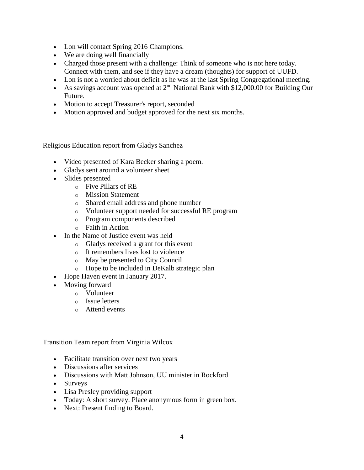- Lon will contact Spring 2016 Champions.
- We are doing well financially
- Charged those present with a challenge: Think of someone who is not here today. Connect with them, and see if they have a dream (thoughts) for support of UUFD.
- Lon is not a worried about deficit as he was at the last Spring Congregational meeting.
- As savings account was opened at  $2<sup>nd</sup>$  National Bank with \$12,000.00 for Building Our Future.
- Motion to accept Treasurer's report, seconded
- Motion approved and budget approved for the next six months.

Religious Education report from Gladys Sanchez

- Video presented of Kara Becker sharing a poem.
- Gladys sent around a volunteer sheet
- Slides presented
	- o Five Pillars of RE
	- o Mission Statement
	- o Shared email address and phone number
	- o Volunteer support needed for successful RE program
	- o Program components described
	- o Faith in Action
- In the Name of Justice event was held
	- o Gladys received a grant for this event
	- o It remembers lives lost to violence
	- o May be presented to City Council
	- o Hope to be included in DeKalb strategic plan
- Hope Haven event in January 2017.
- Moving forward
	- o Volunteer
	- o Issue letters
	- o Attend events

Transition Team report from Virginia Wilcox

- Facilitate transition over next two years
- Discussions after services
- Discussions with Matt Johnson, UU minister in Rockford
- Surveys
- Lisa Presley providing support
- Today: A short survey. Place anonymous form in green box.
- Next: Present finding to Board.